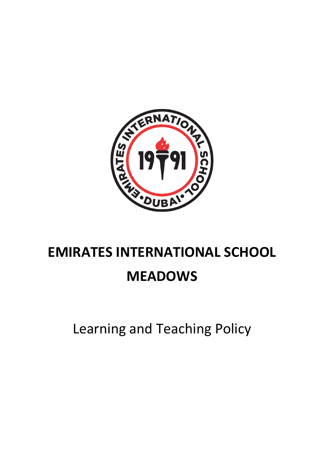

# **EMIRATES INTERNATIONAL SCHOOL MEADOWS**

Learning and Teaching Policy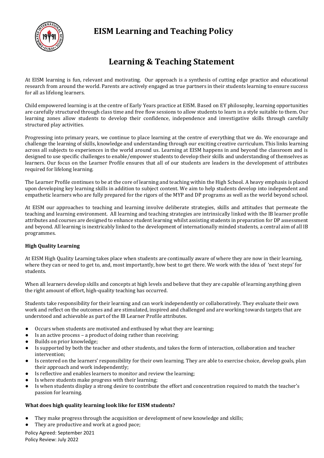

### **EISM Learning and Teaching Policy**

## **Learning & Teaching Statement**

At EISM learning is fun, relevant and motivating. Our approach is a synthesis of cutting edge practice and educational research from around the world. Parents are actively engaged as true partners in their students learning to ensure success for all as lifelong learners.

Child empowered learning is at the centre of Early Years practice at EISM. Based on EY philosophy, learning opportunities are carefully structured through class time and free flow sessions to allow students to learn in a style suitable to them. Our learning zones allow students to develop their confidence, independence and investigative skills through carefully structured play activities.

Progressing into primary years, we continue to place learning at the centre of everything that we do. We encourage and challenge the learning of skills, knowledge and understanding through our exciting creative curriculum. This links learning across all subjects to experiences in the world around us. Learning at EISM happens in and beyond the classroom and is designed to use specific challenges to enable/empower students to develop their skills and understanding of themselves as learners. Our focus on the Learner Profile ensures that all of our students are leaders in the development of attributes required for lifelong learning*.* 

The Learner Profile continues to be at the core of learning and teaching within the High School. A heavy emphasis is placed upon developing key learning skills in addition to subject content. We aim to help students develop into independent and empathetic learners who are fully prepared for the rigors of the MYP and DP programs as well as the world beyond school.

At EISM our approaches to teaching and learning involve deliberate strategies, skills and attitudes that permeate the teaching and learning environment. All learning and teaching strategies are intrinsically linked with the IB learner profile attributes and courses are designed to enhance student learning whilst assisting students in preparation for DP assessment and beyond. All learning is inextricably linked to the development of internationally minded students, a central aim of all IB programmes.

#### **High Quality Learning**

At EISM High Quality Learning takes place when students are continually aware of where they are now in their learning, where they can or need to get to, and, most importantly, how best to get there. We work with the idea of 'next steps' for students.

When all learners develop skills and concepts at high levels and believe that they are capable of learning anything given the right amount of effort, high-quality teaching has occurred.

Students take responsibility for their learning and can work independently or collaboratively. They evaluate their own work and reflect on the outcomes and are stimulated, inspired and challenged and are working towards targets that are understood and achievable as part of the IB Learner Profile attributes.

- Occurs when students are motivated and enthused by what they are learning;
- Is an active process a product of doing rather than receiving;
- Builds on prior knowledge;
- Is supported by both the teacher and other students, and takes the form of interaction, collaboration and teacher intervention;
- Is centered on the learners' responsibility for their own learning. They are able to exercise choice, develop goals, plan their approach and work independently;
- Is reflective and enables learners to monitor and review the learning;
- Is where students make progress with their learning;
- Is when students display a strong desire to contribute the effort and concentration required to match the teacher's passion for learning.

#### **What does high quality learning look like for EISM students?**

- They make progress through the acquisition or development of new knowledge and skills;
- They are productive and work at a good pace;

Policy Agreed: September 2021 Policy Review: July 2022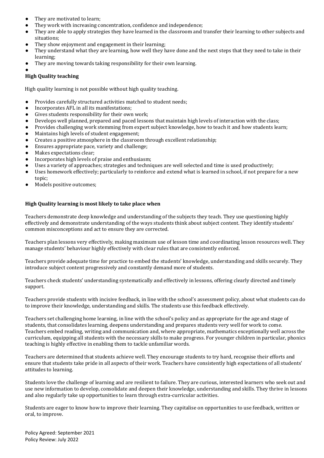- They are motivated to learn:
- They work with increasing concentration, confidence and independence;
- They are able to apply strategies they have learned in the classroom and transfer their learning to other subjects and situations;
- They show enjoyment and engagement in their learning;
- They understand what they are learning, how well they have done and the next steps that they need to take in their learning;
- They are moving towards taking responsibility for their own learning.

●

#### **High Quality teaching**

High quality learning is not possible without high quality teaching.

- Provides carefully structured activities matched to student needs;
- Incorporates AFL in all its manifestations;
- Gives students responsibility for their own work;
- Develops well planned, prepared and paced lessons that maintain high levels of interaction with the class;
- Provides challenging work stemming from expert subject knowledge, how to teach it and how students learn;
- Maintains high levels of student engagement;
- Creates a positive atmosphere in the classroom through excellent relationship;
- Ensures appropriate pace, variety and challenge;
- Makes expectations clear:
- Incorporates high levels of praise and enthusiasm;
- Uses a variety of approaches; strategies and techniques are well selected and time is used productively;
- Uses homework effectively; particularly to reinforce and extend what is learned in school, if not prepare for a new topic;
- Models positive outcomes;

#### **High Quality learning is most likely to take place when**

Teachers demonstrate deep knowledge and understanding of the subjects they teach. They use questioning highly effectively and demonstrate understanding of the ways students think about subject content. They identify students' common misconceptions and act to ensure they are corrected.

Teachers plan lessons very effectively, making maximum use of lesson time and coordinating lesson resources well. They manage students' behaviour highly effectively with clear rules that are consistently enforced.

Teachers provide adequate time for practice to embed the students' knowledge, understanding and skills securely. They introduce subject content progressively and constantly demand more of students.

Teachers check students' understanding systematically and effectively in lessons, offering clearly directed and timely support.

Teachers provide students with incisive feedback, in line with the school's assessment policy, about what students can do to improve their knowledge, understanding and skills. The students use this feedback effectively.

Teachers set challenging home learning, in line with the school's policy and as appropriate for the age and stage of students, that consolidates learning, deepens understanding and prepares students very well for work to come. Teachers embed reading, writing and communication and, where appropriate, mathematics exceptionally well across the curriculum, equipping all students with the necessary skills to make progress. For younger children in particular, phonics teaching is highly effective in enabling them to tackle unfamiliar words.

Teachers are determined that students achieve well. They encourage students to try hard, recognise their efforts and ensure that students take pride in all aspects of their work. Teachers have consistently high expectations of all students' attitudes to learning.

Students love the challenge of learning and are resilient to failure. They are curious, interested learners who seek out and use new information to develop, consolidate and deepen their knowledge, understanding and skills. They thrive in lessons and also regularly take up opportunities to learn through extra-curricular activities.

Students are eager to know how to improve their learning. They capitalise on opportunities to use feedback, written or oral, to improve.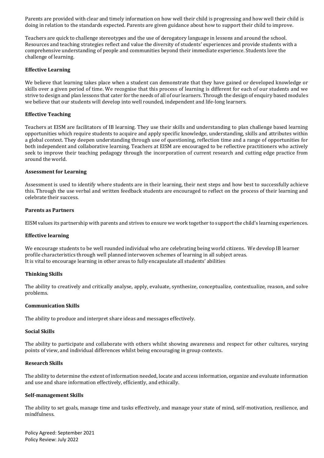Parents are provided with clear and timely information on how well their child is progressing and how well their child is doing in relation to the standards expected. Parents are given guidance about how to support their child to improve.

Teachers are quick to challenge stereotypes and the use of derogatory language in lessons and around the school. Resources and teaching strategies reflect and value the diversity of students' experiences and provide students with a comprehensive understanding of people and communities beyond their immediate experience. Students love the challenge of learning.

#### **Effective Learning**

We believe that learning takes place when a student can demonstrate that they have gained or developed knowledge or skills over a given period of time. We recognise that this process of learning is different for each of our students and we strive to design and plan lessons that cater for the needs of all of our learners. Through the design of enquiry based modules we believe that our students will develop into well rounded, independent and life-long learners.

#### **Effective Teaching**

Teachers at EISM are facilitators of IB learning. They use their skills and understanding to plan challenge based learning opportunities which require students to acquire and apply specific knowledge, understanding, skills and attributes within a global context. They deepen understanding through use of questioning, reflection time and a range of opportunities for both independent and collaborative learning. Teachers at EISM are encouraged to be reflective practitioners who actively seek to improve their teaching pedagogy through the incorporation of current research and cutting edge practice from around the world.

#### **Assessment for Learning**

Assessment is used to identify where students are in their learning, their next steps and how best to successfully achieve this. Through the use verbal and written feedback students are encouraged to reflect on the process of their learning and celebrate their success.

#### **Parents as Partners**

EISM values its partnership with parents and strives to ensure we work together to support the child's learning experiences.

#### **Effective learning**

We encourage students to be well rounded individual who are celebrating being world citizens. We develop IB learner profile characteristics through well planned interwoven schemes of learning in all subject areas. It is vital to encourage learning in other areas to fully encapsulate all students' abilities

#### **Thinking Skills**

The ability to creatively and critically analyse, apply, evaluate, synthesize, conceptualize, contextualize, reason, and solve problems.

#### **Communication Skills**

The ability to produce and interpret share ideas and messages effectively.

#### **Social Skills**

The ability to participate and collaborate with others whilst showing awareness and respect for other cultures, varying points of view, and individual differences whilst being encouraging in group contexts.

#### **Research Skills**

The ability to determine the extent of information needed, locate and access information, organize and evaluate information and use and share information effectively, efficiently, and ethically.

#### **Self-management Skills**

The ability to set goals, manage time and tasks effectively, and manage your state of mind, self-motivation, resilience, and mindfulness.